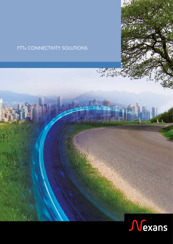### FTTx CONNECTIVITY SOLUTIONS

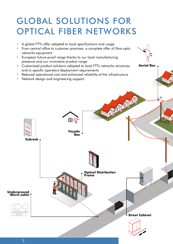### GLOBAL SOLUTIONS FOR OPTICAL FIBER NETWORKS

- **•** A global FTTx offer adapted to local specifications and usage
- **•** From central office to customer premises: a complete offer of fibre optic networks equipment
- **•** European future-proof range thanks to our local manufacturing presence and our innovative product range
- **•** Customised product solutions adapted to local FTTx networks structures and to specific operators'deployment requirements

**Aerial Box**

- **•** Reduced operational cost and enhanced reliability of the infrastructure
- **•** Network design and engineering support.

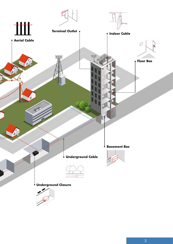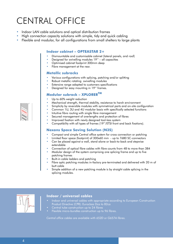## CENTRAL OFFICE

- **•** Indoor LAN cable solutions and optical distribution frames
- **•** High connection capacity solutions with simple, tidy and quick cabling
- **•** Flexible and modular, for all configurations from small shelters to large plants

#### **Indoor cabinet – OPTEASTAR 2+**

- **•** Dismountable and customisable cabinet (lateral panels, and roof)
- **•** Designed for swivelling modules 19'' all capacities
- **•** Optimised cabinet footprint 300mm deep
- Fibre management at the rear.

#### **Metallic subracks**

- **•** Various configurations with splicing, patching and/or splitting
- **•** Robust metallic rotating swivelling modules
- **•** Extensive range adapted to customers specifications
- **•** Designed for easy mounting in 19'' frames.

### **Modular subrack – XPLORERTM**

- Up to 60% weight reduction
- **•** Mechanical strength, thermal stability, resistance to harsh environment
- **•** Simplicity by reversible modules with symmetrical parts and on-site configuration
- **•** Common 1U, 3U and 4U modular basis with specifically selected functions
- **•** Intuitive fibre routing with single fibre management
- **•** Secured management of overlengths and protection of fibres
- **•** Improved fixation with newly designed tool-less system
- **•** Compatibility with all types of frames (19''/ETSI front and back fixations).

### **Nexans Space Saving Solution (N3S)**

- **•** Compact and simple Central office system for cross connection or patching
- **•** Limited floor space (footprint) of 300x60 mm up to 7680 SC-connectors
- **•** Can be placed against a wall, stand alone or back-to-back and stepwise extendable
- **•** Connection of optical fibre cables with fibre counts from 48 to more than 384
- **•** Modular design of the system comprising one splicing frame and up to five patching frames
- **•** Built-in cable ladders and patching
- **•** Fibre optic patching modules in-factory pre-terminated and delivered with 20 m of butt cable
- **•** Simple addition of a new patching module is by straight cable splicing in the splicing modules.



#### **Indoor / universal cables**

- Indoor and universal cables with appropriate according to European Construction Product Directive (CPR): Euroclass Dca to B2ca
- Central tube construction up to 24 fibres
- Flexible micro-bundles construction up to 96 fibres.

*Central office cables are available with 652D or G657A fibres.*

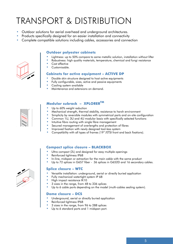## TRANSPORT & DISTRIBUTION

- **•** Outdoor solutions for aerial overhead and underground architectures.
- **•** Products specifically designed for an easier installation and connectivity
- **•** Complete compatible solutions including cables, accessories and connection



#### **Outdoor polyester cabinets**

- **•** Lightness: up to 50% compare to same metallic solution, installation without lifter
- **•** Robustness: high quality materials, temperature, chemical and fungi resistance
- **•** Cost effective
- **•** Customisable.

#### **Cabinets for active equipment – ACTIVE DP**

- **•** Double skin structure designed to host active equipments
- **•** Fully configurable, sizes, active and passive equipments
- **•** Cooling system available
- **•** Maintenance and extensions on demand.

#### **Modular subrack – XPLORERTM**

- Up to 60% weight reduction
- **•** Mechanical strength, thermal stability, resistance to harsh environment
- **•** Simplicity by reversible modules with symmetrical parts and on-site configuration
- **•** Common 1U, 3U and 4U modular basis with specifically selected functions
- **•** Intuitive fibre routing with single fibre management
- **•** Secured management of overlengths and protection of fibres
- **•** Improved fixation with newly designed tool-less system
- **•** Compatibility with all types of frames (19''/ETSI front and back fixations).

#### **Compact splice closure – BLACKBOX**

- **•** Ultra compact (2L) and designed for easy multiple openings
- **•** Reinforced tightness IP68
- **•** In-line, midspan or extraction for the main cable with the same product
- **•** Up to 72 splices in G657 fiber 36 splices in G652D and 16 secondary cables.

#### **Splice closure – WTC**

- **•** Versatile installation: underground, aerial or directly buried application
- **•** Fully mechanical watertight system IP 68
	- **•** High impact resistance IK10
	- **•** 3 sizes in the range, from 48 to 336 splices
	- Up to 6 cable ports depending on the model (multi-cables sealing system).

#### **Dome closure – DCS**

- **•** Underground, aerial or directly buried application
- **•** Reinforced tightness IP68
- **•** 3 sizes in the range, from 96 to 288 splices
- **•** Up to 6 standard ports and 1 midspan port.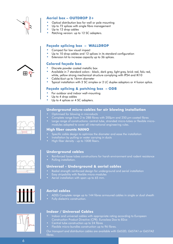

#### **Aerial box – OUTDROP 2+**

- **•** Optical distribution box for wall or pole mounting
- Up to 72 splices with single fibre management
- **•** Up to 12 drop cables
- Patching version: up to 12 SC adapters.

#### **Façade splicing box – WALLDROP**

- **•** Compact for low visual impact
- Up to 10 drop cables and 12 splices in its standard configuration
- **•** Extension kit to increase capacity up to 36 splices.

#### **Colored façade box**

- **•** Discrete powder coated metallic box
- **•** Available in 7 standard colors : black, dark grey, light grey, brick red, falu red, white, yellow strong mechanical structure complying with IP54 and IK10
- **•** Cable/duct up to 16mm diameter
- **•** Typical installation with 2 SC simplex or 2 LC duplex adaptors or 4 fusion splice.

### **Façade splicing & patching box – ODB**

- **•** For outdoor and indoor wall-mounting
- **•** Up to 4 drop cables
- Up to 4 splices or 4 SC adapters.

#### **Underground micro-cables for air blowing installation**

- Optimised for blowing in microducts
- Complete range from 2 to 288 fibres with  $200 \mu m$  and  $250 \mu m$  coated fibres
- Large range of constructions: central tube, stranded micro-tubes or flexible micromodules adapted to cover all international engineering rules.

#### **High fiber counts NANO**

- Specific cable design to optimize the diameter and ease the installation
- Installation by pulling or water carrying in ducts
- High fiber density up to 1008 fibers.

### **Underground cables**

- Reinforced loose tubes constructions for harsh environment and rodent resistance
- Pulling installation.

#### **Universal - Underground & aerial cables**

- Radial strength reinforced design for underground and aerial installation
- Easy stripability with flexible micro-modules
- Aerial installation with span up to 65 mm.



#### **Aerial cables**

- ADSS Complete range up to 144 fibres armoured cables in single or dual sheath
- Fully dielectric construction.

### **Indoor / Universal Cables**

- Indoor and universal cables with appropriate rating according to European Construction Product Directive (CPR): Euroclass Dca to B2ca
- Central tube construction up to 24 fibres
	- Flexible micro-bundles construction up to 96 fibres.

*Our transport and distribution cables are available with G652D, G657A1 or G657A2 fibres.*

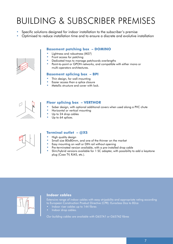# BUILDING & SUBSCRIBER PREMISES

- **•** Specific solutions designed for indoor installation to the subscriber's premise
- **•** Optimised to reduce installation time and to ensure a discrete and evolutive installation

#### **Basement patching box – DOMINO**

- **•** Lightness and robustness (IK07)
- **•** Front access for patching
- **•** Dedicated trays to manage patchcords overlengths
- **•** Point-to-point or GPON networks, and compatible with either mono or multi-operators architectures.

#### **Basement splicing box – BPI**

- **•** Thin design, for wall-mounting
- **•** Easier access than a splice closure
- **•** Metallic structure and cover with lock.



#### **Floor splicing box – VERTHOR**

- **•** Sober design, with optional additional covers when used along a PVC chute
- **•** Horizontal or vertical mounting
- **•** Up to 24 drop cables
- Up to 64 splices.



#### **Terminal outlet – @XS**

- **•** High quality design
- **•** Small size 80x80mm, and one of the thinner on the market
- **•** Easy mounting on wall or DIN rail without opening
- **•** Pre-terminated version available, with a pre-installed drop cable
- **•** Slim/hybrid versions available for 1 SC adapter, with possibility to add a keystone plug (Coax TV, RJ45, etc.).



#### **Indoor cables**

Extensive range of indoor cables with easy stripability and appropriate rating according to European Construction Product Directive (CPR): Euroclass Dca to B2ca

- Indoor riser cables up to 144 fibres
- Indoor drop cables.

*Our building cables are available with G657A1 or G657A2 fibres*